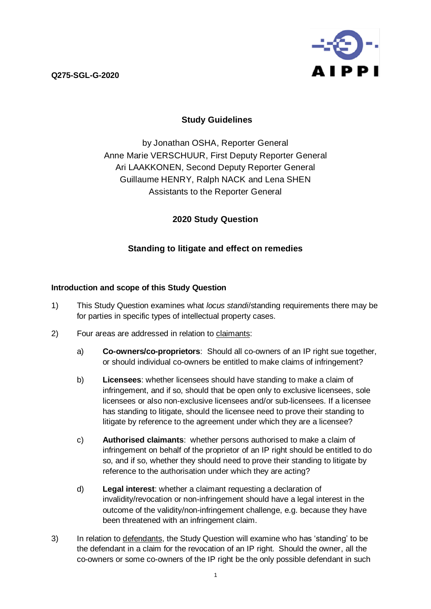**Q275-SGL-G-2020**



# **Study Guidelines**

by Jonathan OSHA, Reporter General Anne Marie VERSCHUUR, First Deputy Reporter General Ari LAAKKONEN, Second Deputy Reporter General Guillaume HENRY, Ralph NACK and Lena SHEN Assistants to the Reporter General

## **2020 Study Question**

# **Standing to litigate and effect on remedies**

## **Introduction and scope of this Study Question**

- 1) This Study Question examines what *locus standi*/standing requirements there may be for parties in specific types of intellectual property cases.
- 2) Four areas are addressed in relation to claimants:
	- a) **Co-owners/co-proprietors**: Should all co-owners of an IP right sue together, or should individual co-owners be entitled to make claims of infringement?
	- b) **Licensees**: whether licensees should have standing to make a claim of infringement, and if so, should that be open only to exclusive licensees, sole licensees or also non-exclusive licensees and/or sub-licensees. If a licensee has standing to litigate, should the licensee need to prove their standing to litigate by reference to the agreement under which they are a licensee?
	- c) **Authorised claimants**: whether persons authorised to make a claim of infringement on behalf of the proprietor of an IP right should be entitled to do so, and if so, whether they should need to prove their standing to litigate by reference to the authorisation under which they are acting?
	- d) **Legal interest**: whether a claimant requesting a declaration of invalidity/revocation or non-infringement should have a legal interest in the outcome of the validity/non-infringement challenge, e.g. because they have been threatened with an infringement claim.
- 3) In relation to defendants, the Study Question will examine who has 'standing' to be the defendant in a claim for the revocation of an IP right. Should the owner, all the co-owners or some co-owners of the IP right be the only possible defendant in such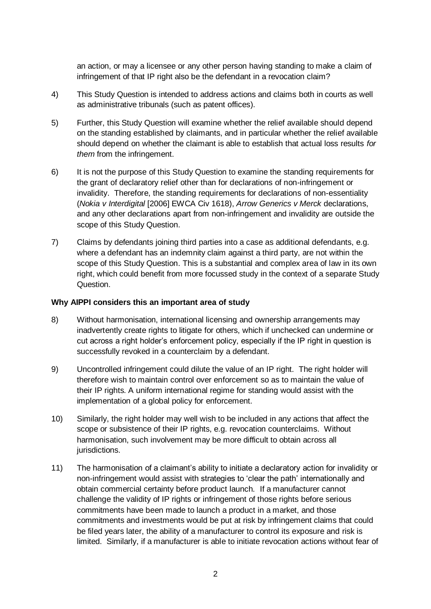an action, or may a licensee or any other person having standing to make a claim of infringement of that IP right also be the defendant in a revocation claim?

- 4) This Study Question is intended to address actions and claims both in courts as well as administrative tribunals (such as patent offices).
- 5) Further, this Study Question will examine whether the relief available should depend on the standing established by claimants, and in particular whether the relief available should depend on whether the claimant is able to establish that actual loss results *for them* from the infringement.
- 6) It is not the purpose of this Study Question to examine the standing requirements for the grant of declaratory relief other than for declarations of non-infringement or invalidity. Therefore, the standing requirements for declarations of non-essentiality (*Nokia v Interdigital* [2006] EWCA Civ 1618), *Arrow Generics v Merck* declarations, and any other declarations apart from non-infringement and invalidity are outside the scope of this Study Question.
- 7) Claims by defendants joining third parties into a case as additional defendants, e.g. where a defendant has an indemnity claim against a third party, are not within the scope of this Study Question. This is a substantial and complex area of law in its own right, which could benefit from more focussed study in the context of a separate Study Question.

### **Why AIPPI considers this an important area of study**

- 8) Without harmonisation, international licensing and ownership arrangements may inadvertently create rights to litigate for others, which if unchecked can undermine or cut across a right holder's enforcement policy, especially if the IP right in question is successfully revoked in a counterclaim by a defendant.
- 9) Uncontrolled infringement could dilute the value of an IP right. The right holder will therefore wish to maintain control over enforcement so as to maintain the value of their IP rights. A uniform international regime for standing would assist with the implementation of a global policy for enforcement.
- 10) Similarly, the right holder may well wish to be included in any actions that affect the scope or subsistence of their IP rights, e.g. revocation counterclaims. Without harmonisation, such involvement may be more difficult to obtain across all jurisdictions.
- 11) The harmonisation of a claimant's ability to initiate a declaratory action for invalidity or non-infringement would assist with strategies to 'clear the path' internationally and obtain commercial certainty before product launch. If a manufacturer cannot challenge the validity of IP rights or infringement of those rights before serious commitments have been made to launch a product in a market, and those commitments and investments would be put at risk by infringement claims that could be filed years later, the ability of a manufacturer to control its exposure and risk is limited. Similarly, if a manufacturer is able to initiate revocation actions without fear of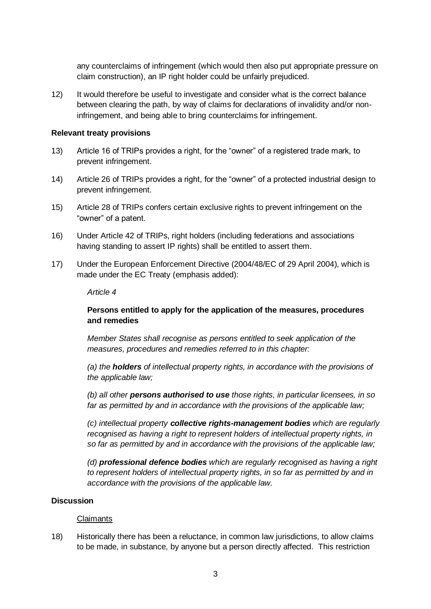any counterclaims of infringement (which would then also put appropriate pressure on claim construction), an IP right holder could be unfairly prejudiced.

12) It would therefore be useful to investigate and consider what is the correct balance between clearing the path, by way of claims for declarations of invalidity and/or noninfringement, and being able to bring counterclaims for infringement.

#### **Relevant treaty provisions**

- 13) Article 16 of TRIPs provides a right, for the "owner" of a registered trade mark, to prevent infringement.
- 14) Article 26 of TRIPs provides a right, for the "owner" of a protected industrial design to prevent infringement.
- 15) Article 28 of TRIPs confers certain exclusive rights to prevent infringement on the "owner" of a patent.
- 16) Under Article 42 of TRIPs, right holders (including federations and associations having standing to assert IP rights) shall be entitled to assert them.
- 17) Under the European Enforcement Directive (2004/48/EC of 29 April 2004), which is made under the EC Treaty (emphasis added):

#### *Article 4*

### **Persons entitled to apply for the application of the measures, procedures and remedies**

*Member States shall recognise as persons entitled to seek application of the measures, procedures and remedies referred to in this chapter:*

*(a) the holders of intellectual property rights, in accordance with the provisions of the applicable law;*

*(b) all other persons authorised to use those rights, in particular licensees, in so far as permitted by and in accordance with the provisions of the applicable law;*

*(c) intellectual property collective rights-management bodies which are regularly recognised as having a right to represent holders of intellectual property rights, in so far as permitted by and in accordance with the provisions of the applicable law;*

*(d) professional defence bodies which are regularly recognised as having a right to represent holders of intellectual property rights, in so far as permitted by and in accordance with the provisions of the applicable law.*

#### **Discussion**

#### Claimants

18) Historically there has been a reluctance, in common law jurisdictions, to allow claims to be made, in substance, by anyone but a person directly affected. This restriction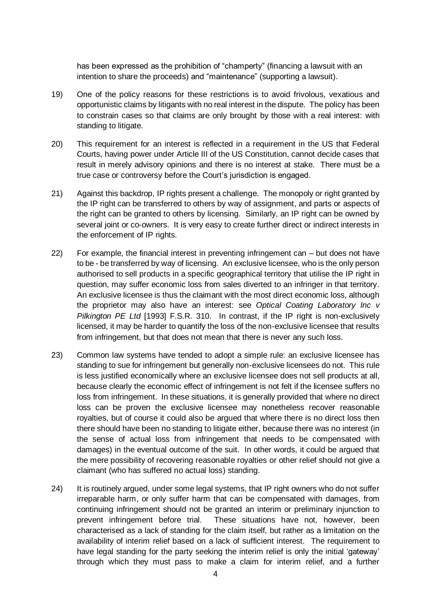has been expressed as the prohibition of "champerty" (financing a lawsuit with an intention to share the proceeds) and "maintenance" (supporting a lawsuit).

- 19) One of the policy reasons for these restrictions is to avoid frivolous, vexatious and opportunistic claims by litigants with no real interest in the dispute. The policy has been to constrain cases so that claims are only brought by those with a real interest: with standing to litigate.
- 20) This requirement for an interest is reflected in a requirement in the US that Federal Courts, having power under Article III of the US Constitution, cannot decide cases that result in merely advisory opinions and there is no interest at stake. There must be a true case or controversy before the Court's jurisdiction is engaged.
- 21) Against this backdrop, IP rights present a challenge. The monopoly or right granted by the IP right can be transferred to others by way of assignment, and parts or aspects of the right can be granted to others by licensing. Similarly, an IP right can be owned by several joint or co-owners. It is very easy to create further direct or indirect interests in the enforcement of IP rights.
- 22) For example, the financial interest in preventing infringement can but does not have to be - be transferred by way of licensing. An exclusive licensee, who is the only person authorised to sell products in a specific geographical territory that utilise the IP right in question, may suffer economic loss from sales diverted to an infringer in that territory. An exclusive licensee is thus the claimant with the most direct economic loss, although the proprietor may also have an interest: see *Optical Coating Laboratory Inc v Pilkington PE Ltd* [1993] F.S.R. 310. In contrast, if the IP right is non-exclusively licensed, it may be harder to quantify the loss of the non-exclusive licensee that results from infringement, but that does not mean that there is never any such loss.
- 23) Common law systems have tended to adopt a simple rule: an exclusive licensee has standing to sue for infringement but generally non-exclusive licensees do not. This rule is less justified economically where an exclusive licensee does not sell products at all, because clearly the economic effect of infringement is not felt if the licensee suffers no loss from infringement. In these situations, it is generally provided that where no direct loss can be proven the exclusive licensee may nonetheless recover reasonable royalties, but of course it could also be argued that where there is no direct loss then there should have been no standing to litigate either, because there was no interest (in the sense of actual loss from infringement that needs to be compensated with damages) in the eventual outcome of the suit. In other words, it could be argued that the mere possibility of recovering reasonable royalties or other relief should not give a claimant (who has suffered no actual loss) standing.
- 24) It is routinely argued, under some legal systems, that IP right owners who do not suffer irreparable harm, or only suffer harm that can be compensated with damages, from continuing infringement should not be granted an interim or preliminary injunction to prevent infringement before trial. These situations have not, however, been characterised as a lack of standing for the claim itself, but rather as a limitation on the availability of interim relief based on a lack of sufficient interest. The requirement to have legal standing for the party seeking the interim relief is only the initial 'gateway' through which they must pass to make a claim for interim relief, and a further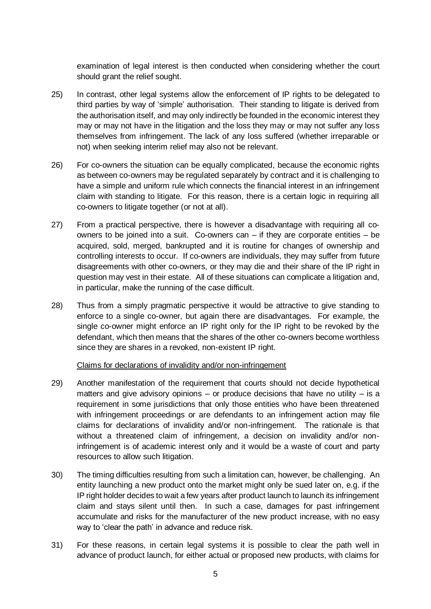examination of legal interest is then conducted when considering whether the court should grant the relief sought.

- 25) In contrast, other legal systems allow the enforcement of IP rights to be delegated to third parties by way of 'simple' authorisation. Their standing to litigate is derived from the authorisation itself, and may only indirectly be founded in the economic interest they may or may not have in the litigation and the loss they may or may not suffer any loss themselves from infringement. The lack of any loss suffered (whether irreparable or not) when seeking interim relief may also not be relevant.
- 26) For co-owners the situation can be equally complicated, because the economic rights as between co-owners may be regulated separately by contract and it is challenging to have a simple and uniform rule which connects the financial interest in an infringement claim with standing to litigate. For this reason, there is a certain logic in requiring all co-owners to litigate together (or not at all).
- 27) From a practical perspective, there is however a disadvantage with requiring all coowners to be joined into a suit. Co-owners can – if they are corporate entities – be acquired, sold, merged, bankrupted and it is routine for changes of ownership and controlling interests to occur. If co-owners are individuals, they may suffer from future disagreements with other co-owners, or they may die and their share of the IP right in question may vest in their estate. All of these situations can complicate a litigation and, in particular, make the running of the case difficult.
- 28) Thus from a simply pragmatic perspective it would be attractive to give standing to enforce to a single co-owner, but again there are disadvantages. For example, the single co-owner might enforce an IP right only for the IP right to be revoked by the defendant, which then means that the shares of the other co-owners become worthless since they are shares in a revoked, non-existent IP right.

Claims for declarations of invalidity and/or non-infringement

- 29) Another manifestation of the requirement that courts should not decide hypothetical matters and give advisory opinions – or produce decisions that have no utility – is a requirement in some jurisdictions that only those entities who have been threatened with infringement proceedings or are defendants to an infringement action may file claims for declarations of invalidity and/or non-infringement. The rationale is that without a threatened claim of infringement, a decision on invalidity and/or noninfringement is of academic interest only and it would be a waste of court and party resources to allow such litigation.
- 30) The timing difficulties resulting from such a limitation can, however, be challenging. An entity launching a new product onto the market might only be sued later on, e.g. if the IP right holder decides to wait a few years after product launch to launch its infringement claim and stays silent until then. In such a case, damages for past infringement accumulate and risks for the manufacturer of the new product increase, with no easy way to 'clear the path' in advance and reduce risk.
- 31) For these reasons, in certain legal systems it is possible to clear the path well in advance of product launch, for either actual or proposed new products, with claims for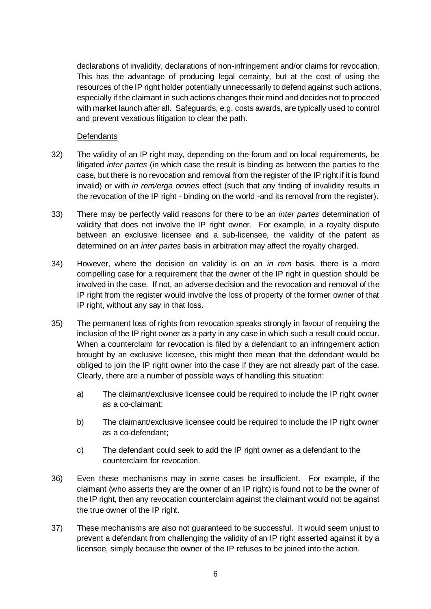declarations of invalidity, declarations of non-infringement and/or claims for revocation. This has the advantage of producing legal certainty, but at the cost of using the resources of the IP right holder potentially unnecessarily to defend against such actions, especially if the claimant in such actions changes their mind and decides not to proceed with market launch after all. Safeguards, e.g. costs awards, are typically used to control and prevent vexatious litigation to clear the path.

### **Defendants**

- 32) The validity of an IP right may, depending on the forum and on local requirements, be litigated *inter partes* (in which case the result is binding as between the parties to the case, but there is no revocation and removal from the register of the IP right if it is found invalid) or with *in rem/erga omnes* effect (such that any finding of invalidity results in the revocation of the IP right - binding on the world -and its removal from the register).
- <span id="page-5-0"></span>33) There may be perfectly valid reasons for there to be an *inter partes* determination of validity that does not involve the IP right owner. For example, in a royalty dispute between an exclusive licensee and a sub-licensee, the validity of the patent as determined on an *inter partes* basis in arbitration may affect the royalty charged.
- 34) However, where the decision on validity is on an *in rem* basis, there is a more compelling case for a requirement that the owner of the IP right in question should be involved in the case. If not, an adverse decision and the revocation and removal of the IP right from the register would involve the loss of property of the former owner of that IP right, without any say in that loss.
- <span id="page-5-1"></span>35) The permanent loss of rights from revocation speaks strongly in favour of requiring the inclusion of the IP right owner as a party in any case in which such a result could occur. When a counterclaim for revocation is filed by a defendant to an infringement action brought by an exclusive licensee, this might then mean that the defendant would be obliged to join the IP right owner into the case if they are not already part of the case. Clearly, there are a number of possible ways of handling this situation:
	- a) The claimant/exclusive licensee could be required to include the IP right owner as a co-claimant;
	- b) The claimant/exclusive licensee could be required to include the IP right owner as a co-defendant;
	- c) The defendant could seek to add the IP right owner as a defendant to the counterclaim for revocation.
- 36) Even these mechanisms may in some cases be insufficient. For example, if the claimant (who asserts they are the owner of an IP right) is found not to be the owner of the IP right, then any revocation counterclaim against the claimant would not be against the true owner of the IP right.
- 37) These mechanisms are also not guaranteed to be successful. It would seem unjust to prevent a defendant from challenging the validity of an IP right asserted against it by a licensee, simply because the owner of the IP refuses to be joined into the action.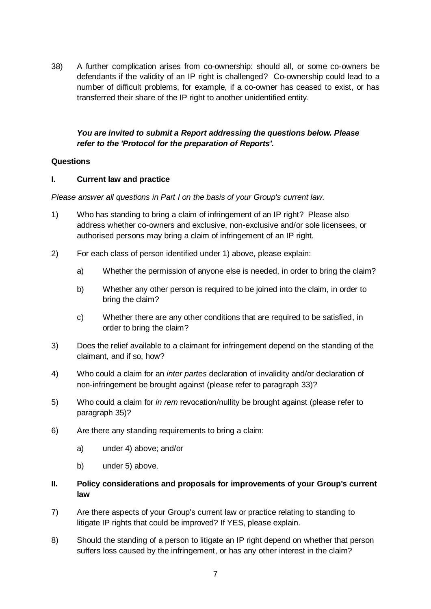38) A further complication arises from co-ownership: should all, or some co-owners be defendants if the validity of an IP right is challenged? Co-ownership could lead to a number of difficult problems, for example, if a co-owner has ceased to exist, or has transferred their share of the IP right to another unidentified entity.

## *You are invited to submit a Report addressing the questions below. Please refer to the 'Protocol for the preparation of Reports'.*

### **Questions**

### **I. Current law and practice**

*Please answer all questions in Part I on the basis of your Group's current law.*

- 1) Who has standing to bring a claim of infringement of an IP right? Please also address whether co-owners and exclusive, non-exclusive and/or sole licensees, or authorised persons may bring a claim of infringement of an IP right.
- 2) For each class of person identified under 1) above, please explain:
	- a) Whether the permission of anyone else is needed, in order to bring the claim?
	- b) Whether any other person is required to be joined into the claim, in order to bring the claim?
	- c) Whether there are any other conditions that are required to be satisfied, in order to bring the claim?
- 3) Does the relief available to a claimant for infringement depend on the standing of the claimant, and if so, how?
- <span id="page-6-0"></span>4) Who could a claim for an *inter partes* declaration of invalidity and/or declaration of non-infringement be brought against (please refer to paragraph [33\)?](#page-5-0)
- <span id="page-6-1"></span>5) Who could a claim for *in rem* revocation/nullity be brought against (please refer to paragraph [35\)?](#page-5-1)
- 6) Are there any standing requirements to bring a claim:
	- a) under [4\)](#page-6-0) above; and/or
	- b) under [5\)](#page-6-1) above.
- **II. Policy considerations and proposals for improvements of your Group's current law**
- 7) Are there aspects of your Group's current law or practice relating to standing to litigate IP rights that could be improved? If YES, please explain.
- 8) Should the standing of a person to litigate an IP right depend on whether that person suffers loss caused by the infringement, or has any other interest in the claim?